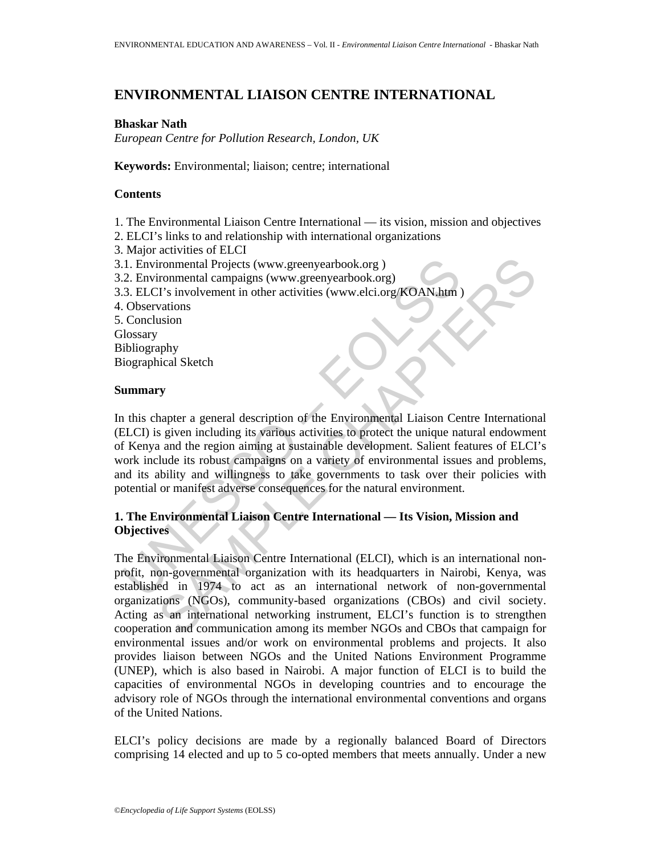# **ENVIRONMENTAL LIAISON CENTRE INTERNATIONAL**

## **Bhaskar Nath**

*European Centre for Pollution Research, London, UK* 

**Keywords:** Environmental; liaison; centre; international

## **Contents**

- 1. The Environmental Liaison Centre International its vision, mission and objectives
- 2. ELCI's links to and relationship with international organizations
- 3. Major activities of ELCI
- 3.1. Environmental Projects (www.greenyearbook.org )
- 3.2. Environmental campaigns (www.greenyearbook.org)
- 3.3. ELCI's involvement in other activities (www.elci.org/KOAN.htm )
- 4. Observations
- 5. Conclusion
- **Glossary** Bibliography
- Biographical Sketch

## **Summary**

1. Environmental Projects (www.greenyearbook.org)<br>
2. Environmental campaigns (www.greenyearbook.org)<br>
3. ELCI's involvement in other activities (www.elci.org/KOAN.htm)<br>
0. Observations<br>
Conclusion<br>
1. Conclusion<br>
1. Concl In this chapter a general description of the Environmental Liaison Centre International (ELCI) is given including its various activities to protect the unique natural endowment of Kenya and the region aiming at sustainable development. Salient features of ELCI's work include its robust campaigns on a variety of environmental issues and problems, and its ability and willingness to take governments to task over their policies with potential or manifest adverse consequences for the natural environment.

## **1. The Environmental Liaison Centre International — Its Vision, Mission and Objectives**

ironmental Projects (www.greenyearbook.org)<br>
T's involvement in other activities (www.elci.org/KOAN.htm)<br>
T's involvement in other activities (www.elci.org/KOAN.htm)<br>
varions<br>
varions<br>
varions<br>
saison<br>
saison<br>
saison<br>
phy<br> The Environmental Liaison Centre International (ELCI), which is an international nonprofit, non-governmental organization with its headquarters in Nairobi, Kenya, was established in 1974 to act as an international network of non-governmental organizations (NGOs), community-based organizations (CBOs) and civil society. Acting as an international networking instrument, ELCI's function is to strengthen cooperation and communication among its member NGOs and CBOs that campaign for environmental issues and/or work on environmental problems and projects. It also provides liaison between NGOs and the United Nations Environment Programme (UNEP), which is also based in Nairobi. A major function of ELCI is to build the capacities of environmental NGOs in developing countries and to encourage the advisory role of NGOs through the international environmental conventions and organs of the United Nations.

ELCI's policy decisions are made by a regionally balanced Board of Directors comprising 14 elected and up to 5 co-opted members that meets annually. Under a new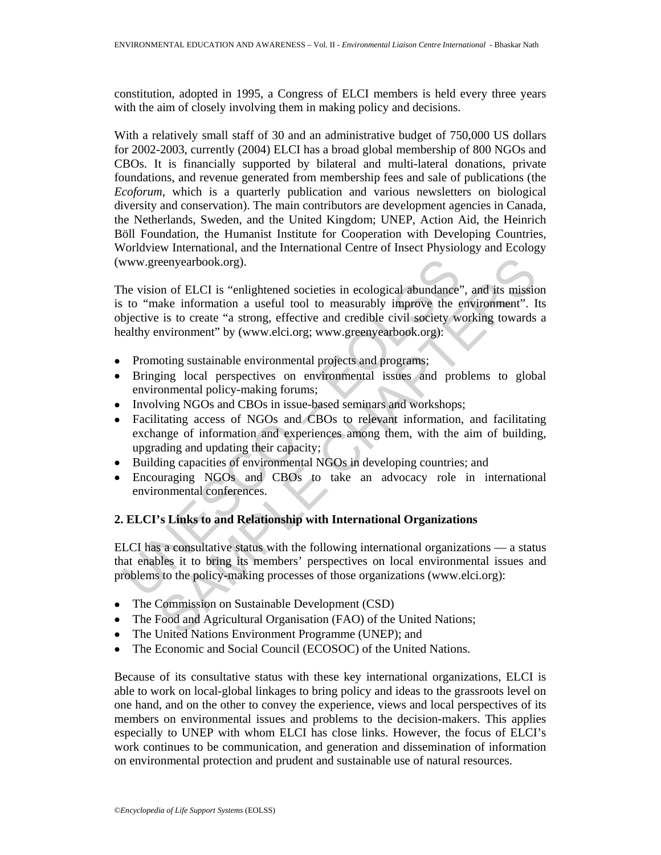constitution, adopted in 1995, a Congress of ELCI members is held every three years with the aim of closely involving them in making policy and decisions.

With a relatively small staff of 30 and an administrative budget of 750,000 US dollars for 2002-2003, currently (2004) ELCI has a broad global membership of 800 NGOs and CBOs. It is financially supported by bilateral and multi-lateral donations, private foundations, and revenue generated from membership fees and sale of publications (the *Ecoforum*, which is a quarterly publication and various newsletters on biological diversity and conservation). The main contributors are development agencies in Canada, the Netherlands, Sweden, and the United Kingdom; UNEP, Action Aid, the Heinrich Böll Foundation, the Humanist Institute for Cooperation with Developing Countries, Worldview International, and the International Centre of Insect Physiology and Ecology (www.greenyearbook.org).

www.greenyearbook.org).<br>
he vision of ELCI is "enlightened societies in ecological abundance"<br>
to "make information a useful tool to measurably improve the e<br>
bjective is to create "a strong, effective and credible civil s conveatbook.org).<br>
Some of ELCI is "enlightened societies in ecological abundance", and its mission<br>
ale information a useful tool to measurably improve the environment". It<br>
is to create "a strong, effective and credible The vision of ELCI is "enlightened societies in ecological abundance", and its mission is to "make information a useful tool to measurably improve the environment". Its objective is to create "a strong, effective and credible civil society working towards a healthy environment" by (www.elci.org; www.greenyearbook.org):

- Promoting sustainable environmental projects and programs;
- Bringing local perspectives on environmental issues and problems to global environmental policy-making forums;
- Involving NGOs and CBOs in issue-based seminars and workshops;
- Facilitating access of NGOs and CBOs to relevant information, and facilitating exchange of information and experiences among them, with the aim of building, upgrading and updating their capacity;
- Building capacities of environmental NGOs in developing countries; and
- Encouraging NGOs and CBOs to take an advocacy role in international environmental conferences.

## **2. ELCI's Links to and Relationship with International Organizations**

ELCI has a consultative status with the following international organizations — a status that enables it to bring its members' perspectives on local environmental issues and problems to the policy-making processes of those organizations (www.elci.org):

- The Commission on Sustainable Development (CSD)
- The Food and Agricultural Organisation (FAO) of the United Nations;
- The United Nations Environment Programme (UNEP); and
- The Economic and Social Council (ECOSOC) of the United Nations.

Because of its consultative status with these key international organizations, ELCI is able to work on local-global linkages to bring policy and ideas to the grassroots level on one hand, and on the other to convey the experience, views and local perspectives of its members on environmental issues and problems to the decision-makers. This applies especially to UNEP with whom ELCI has close links. However, the focus of ELCI's work continues to be communication, and generation and dissemination of information on environmental protection and prudent and sustainable use of natural resources.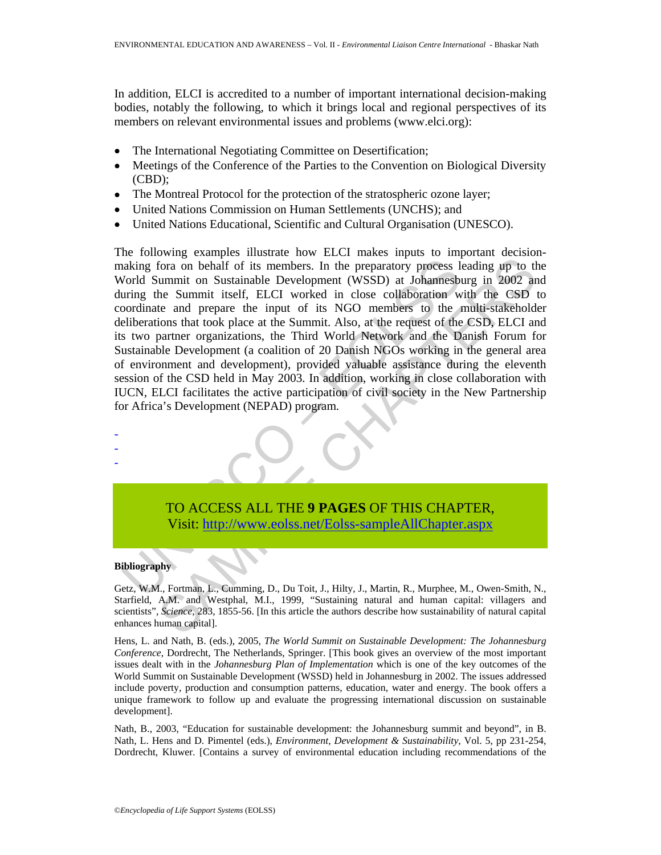In addition, ELCI is accredited to a number of important international decision-making bodies, notably the following, to which it brings local and regional perspectives of its members on relevant environmental issues and problems (www.elci.org):

- The International Negotiating Committee on Desertification;
- Meetings of the Conference of the Parties to the Convention on Biological Diversity (CBD);
- The Montreal Protocol for the protection of the stratospheric ozone layer;
- United Nations Commission on Human Settlements (UNCHS); and
- United Nations Educational, Scientific and Cultural Organisation (UNESCO).

aking fora on behalf of its members. In the preparatory process is<br>
Vorld Summit on Sustainable Development (WSSD) at Johannesbic virtual<br>
uring the Summit itself, ELCI worked in close collaboration word<br>
interactions that Form an behalf of its members. In the preparatory process leading up to the unmit on Sustainable Development (WSSD) at Johannesburg in 2002 and the Summit itself, ELCI worked in close collaboration with the CSD tend prepar The following examples illustrate how ELCI makes inputs to important decisionmaking fora on behalf of its members. In the preparatory process leading up to the World Summit on Sustainable Development (WSSD) at Johannesburg in 2002 and during the Summit itself, ELCI worked in close collaboration with the CSD to coordinate and prepare the input of its NGO members to the multi-stakeholder deliberations that took place at the Summit. Also, at the request of the CSD, ELCI and its two partner organizations, the Third World Network and the Danish Forum for Sustainable Development (a coalition of 20 Danish NGOs working in the general area of environment and development), provided valuable assistance during the eleventh session of the CSD held in May 2003. In addition, working in close collaboration with IUCN, ELCI facilitates the active participation of civil society in the New Partnership for Africa's Development (NEPAD) program.

TO ACCESS ALL THE **9 PAGES** OF THIS CHAPTER, Visit: http://www.eolss.net/Eolss-sampleAllChapter.aspx

### **Bibliography**

- - -

Getz, W.M., Fortman, L., Cumming, D., Du Toit, J., Hilty, J., Martin, R., Murphee, M., Owen-Smith, N., Starfield, A.M. and Westphal, M.I., 1999, "Sustaining natural and human capital: villagers and scientists", *Science*, 283, 1855-56. [In this article the authors describe how sustainability of natural capital enhances human capital].

Hens, L. and Nath, B. (eds.), 2005, *The World Summit on Sustainable Development: The Johannesburg Conference*, Dordrecht, The Netherlands, Springer. [This book gives an overview of the most important issues dealt with in the *Johannesburg Plan of Implementation* which is one of the key outcomes of the World Summit on Sustainable Development (WSSD) held in Johannesburg in 2002. The issues addressed include poverty, production and consumption patterns, education, water and energy. The book offers a unique framework to follow up and evaluate the progressing international discussion on sustainable development].

Nath, B., 2003, "Education for sustainable development: the Johannesburg summit and beyond", in B. Nath, L. Hens and D. Pimentel (eds.), *Environment, Development & Sustainability*, Vol. 5, pp 231-254, Dordrecht, Kluwer. [Contains a survey of environmental education including recommendations of the